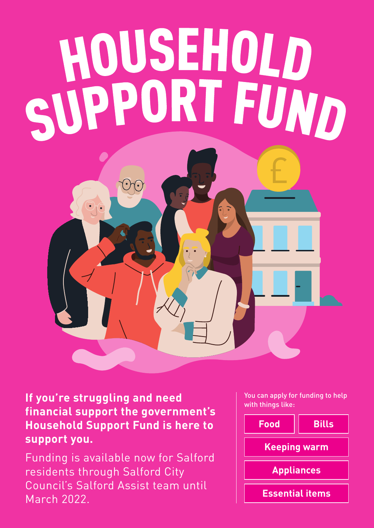## HOUSEHOLD<br>SUPPORT FUND  $\bigodot$  $\bigodot$

**If you're struggling and need financial support the government's Household Support Fund is here to support you.** 

Funding is available now for Salford residents through Salford City Council's Salford Assist team until March 2022.

You can apply for funding to help with things like: